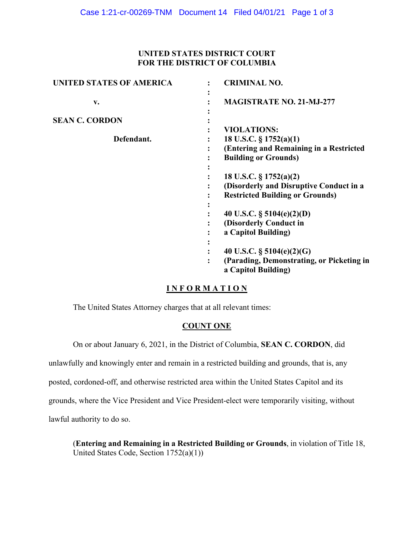# **UNITED STATES DISTRICT COURT FOR THE DISTRICT OF COLUMBIA**

| <b>UNITED STATES OF AMERICA</b>     | <b>CRIMINAL NO.</b>                                                                                                                                                                                                                         |
|-------------------------------------|---------------------------------------------------------------------------------------------------------------------------------------------------------------------------------------------------------------------------------------------|
| v.                                  | <b>MAGISTRATE NO. 21-MJ-277</b>                                                                                                                                                                                                             |
| <b>SEAN C. CORDON</b><br>Defendant. | <b>VIOLATIONS:</b><br>18 U.S.C. $\S 1752(a)(1)$<br>(Entering and Remaining in a Restricted<br><b>Building or Grounds)</b><br>18 U.S.C. $\S 1752(a)(2)$<br>(Disorderly and Disruptive Conduct in a<br><b>Restricted Building or Grounds)</b> |
|                                     | 40 U.S.C. $\S$ 5104(e)(2)(D)<br>(Disorderly Conduct in<br>a Capitol Building)<br>40 U.S.C. $\S$ 5104(e)(2)(G)<br>(Parading, Demonstrating, or Picketing in<br>$\ddot{\cdot}$<br>a Capitol Building)                                         |

## **I N F O R M A T I O N**

The United States Attorney charges that at all relevant times:

#### **COUNT ONE**

On or about January 6, 2021, in the District of Columbia, **SEAN C. CORDON**, did

unlawfully and knowingly enter and remain in a restricted building and grounds, that is, any

posted, cordoned-off, and otherwise restricted area within the United States Capitol and its

grounds, where the Vice President and Vice President-elect were temporarily visiting, without

lawful authority to do so.

(**Entering and Remaining in a Restricted Building or Grounds**, in violation of Title 18, United States Code, Section 1752(a)(1))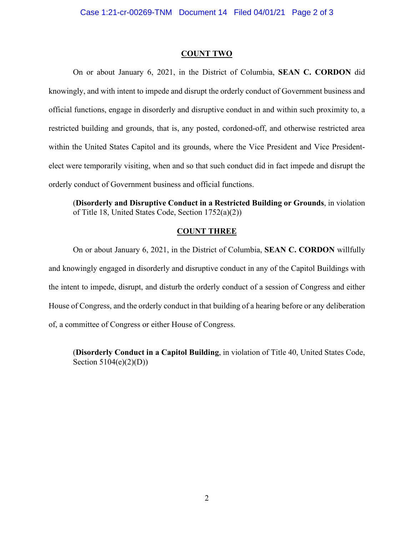### **COUNT TWO**

On or about January 6, 2021, in the District of Columbia, **SEAN C. CORDON** did knowingly, and with intent to impede and disrupt the orderly conduct of Government business and official functions, engage in disorderly and disruptive conduct in and within such proximity to, a restricted building and grounds, that is, any posted, cordoned-off, and otherwise restricted area within the United States Capitol and its grounds, where the Vice President and Vice Presidentelect were temporarily visiting, when and so that such conduct did in fact impede and disrupt the orderly conduct of Government business and official functions.

(**Disorderly and Disruptive Conduct in a Restricted Building or Grounds**, in violation of Title 18, United States Code, Section 1752(a)(2))

### **COUNT THREE**

On or about January 6, 2021, in the District of Columbia, **SEAN C. CORDON** willfully and knowingly engaged in disorderly and disruptive conduct in any of the Capitol Buildings with the intent to impede, disrupt, and disturb the orderly conduct of a session of Congress and either House of Congress, and the orderly conduct in that building of a hearing before or any deliberation of, a committee of Congress or either House of Congress.

(**Disorderly Conduct in a Capitol Building**, in violation of Title 40, United States Code, Section 5104(e)(2)(D))